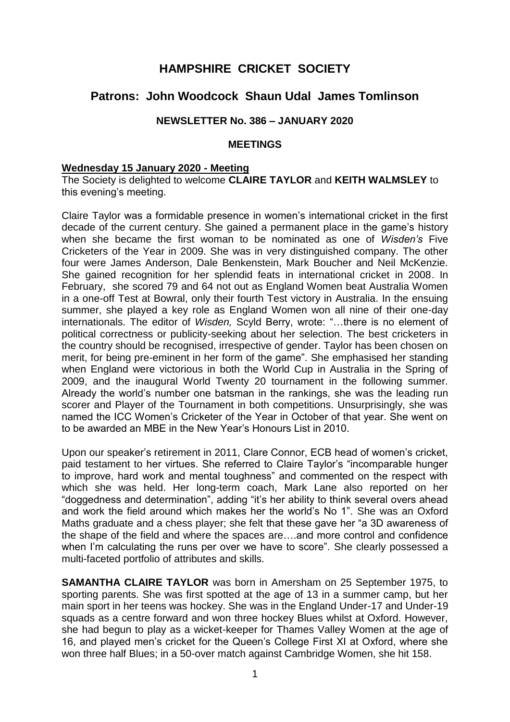# **HAMPSHIRE CRICKET SOCIETY**

## **Patrons: John Woodcock Shaun Udal James Tomlinson**

## **NEWSLETTER No. 386 – JANUARY 2020**

#### **MEETINGS**

### **Wednesday 15 January 2020 - Meeting**

The Society is delighted to welcome **CLAIRE TAYLOR** and **KEITH WALMSLEY** to this evening's meeting.

Claire Taylor was a formidable presence in women's international cricket in the first decade of the current century. She gained a permanent place in the game's history when she became the first woman to be nominated as one of *Wisden's* Five Cricketers of the Year in 2009. She was in very distinguished company. The other four were James Anderson, Dale Benkenstein, Mark Boucher and Neil McKenzie. She gained recognition for her splendid feats in international cricket in 2008. In February, she scored 79 and 64 not out as England Women beat Australia Women in a one-off Test at Bowral, only their fourth Test victory in Australia. In the ensuing summer, she played a key role as England Women won all nine of their one-day internationals. The editor of *Wisden,* Scyld Berry, wrote: "…there is no element of political correctness or publicity-seeking about her selection. The best cricketers in the country should be recognised, irrespective of gender. Taylor has been chosen on merit, for being pre-eminent in her form of the game". She emphasised her standing when England were victorious in both the World Cup in Australia in the Spring of 2009, and the inaugural World Twenty 20 tournament in the following summer. Already the world's number one batsman in the rankings, she was the leading run scorer and Player of the Tournament in both competitions. Unsurprisingly, she was named the ICC Women's Cricketer of the Year in October of that year. She went on to be awarded an MBE in the New Year's Honours List in 2010.

Upon our speaker's retirement in 2011, Clare Connor, ECB head of women's cricket, paid testament to her virtues. She referred to Claire Taylor's "incomparable hunger to improve, hard work and mental toughness" and commented on the respect with which she was held. Her long-term coach, Mark Lane also reported on her "doggedness and determination", adding "it's her ability to think several overs ahead and work the field around which makes her the world's No 1". She was an Oxford Maths graduate and a chess player; she felt that these gave her "a 3D awareness of the shape of the field and where the spaces are….and more control and confidence when I'm calculating the runs per over we have to score". She clearly possessed a multi-faceted portfolio of attributes and skills.

**SAMANTHA CLAIRE TAYLOR** was born in Amersham on 25 September 1975, to sporting parents. She was first spotted at the age of 13 in a summer camp, but her main sport in her teens was hockey. She was in the England Under-17 and Under-19 squads as a centre forward and won three hockey Blues whilst at Oxford. However, she had begun to play as a wicket-keeper for Thames Valley Women at the age of 16, and played men's cricket for the Queen's College First XI at Oxford, where she won three half Blues; in a 50-over match against Cambridge Women, she hit 158.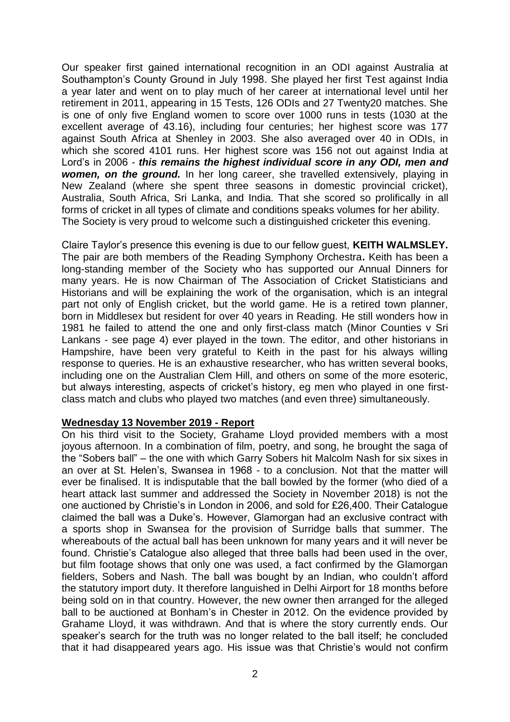Our speaker first gained international recognition in an ODI against Australia at Southampton's County Ground in July 1998. She played her first Test against India a year later and went on to play much of her career at international level until her retirement in 2011, appearing in 15 Tests, 126 ODIs and 27 Twenty20 matches. She is one of only five England women to score over 1000 runs in tests (1030 at the excellent average of 43.16), including four centuries; her highest score was 177 against South Africa at Shenley in 2003. She also averaged over 40 in ODIs, in which she scored 4101 runs. Her highest score was 156 not out against India at Lord's in 2006 - *this remains the highest individual score in any ODI, men and women, on the ground.* In her long career, she travelled extensively, playing in New Zealand (where she spent three seasons in domestic provincial cricket), Australia, South Africa, Sri Lanka, and India. That she scored so prolifically in all forms of cricket in all types of climate and conditions speaks volumes for her ability. The Society is very proud to welcome such a distinguished cricketer this evening.

Claire Taylor's presence this evening is due to our fellow guest, **KEITH WALMSLEY.**  The pair are both members of the Reading Symphony Orchestra**.** Keith has been a long-standing member of the Society who has supported our Annual Dinners for many years. He is now Chairman of The Association of Cricket Statisticians and Historians and will be explaining the work of the organisation, which is an integral part not only of English cricket, but the world game. He is a retired town planner, born in Middlesex but resident for over 40 years in Reading. He still wonders how in 1981 he failed to attend the one and only first-class match (Minor Counties v Sri Lankans - see page 4) ever played in the town. The editor, and other historians in Hampshire, have been very grateful to Keith in the past for his always willing response to queries. He is an exhaustive researcher, who has written several books, including one on the Australian Clem Hill, and others on some of the more esoteric, but always interesting, aspects of cricket's history, eg men who played in one firstclass match and clubs who played two matches (and even three) simultaneously.

#### **Wednesday 13 November 2019 - Report**

On his third visit to the Society, Grahame Lloyd provided members with a most joyous afternoon. In a combination of film, poetry, and song, he brought the saga of the "Sobers ball" – the one with which Garry Sobers hit Malcolm Nash for six sixes in an over at St. Helen's, Swansea in 1968 - to a conclusion. Not that the matter will ever be finalised. It is indisputable that the ball bowled by the former (who died of a heart attack last summer and addressed the Society in November 2018) is not the one auctioned by Christie's in London in 2006, and sold for £26,400. Their Catalogue claimed the ball was a Duke's. However, Glamorgan had an exclusive contract with a sports shop in Swansea for the provision of Surridge balls that summer. The whereabouts of the actual ball has been unknown for many years and it will never be found. Christie's Catalogue also alleged that three balls had been used in the over, but film footage shows that only one was used, a fact confirmed by the Glamorgan fielders, Sobers and Nash. The ball was bought by an Indian, who couldn't afford the statutory import duty. It therefore languished in Delhi Airport for 18 months before being sold on in that country. However, the new owner then arranged for the alleged ball to be auctioned at Bonham's in Chester in 2012. On the evidence provided by Grahame Lloyd, it was withdrawn. And that is where the story currently ends. Our speaker's search for the truth was no longer related to the ball itself; he concluded that it had disappeared years ago. His issue was that Christie's would not confirm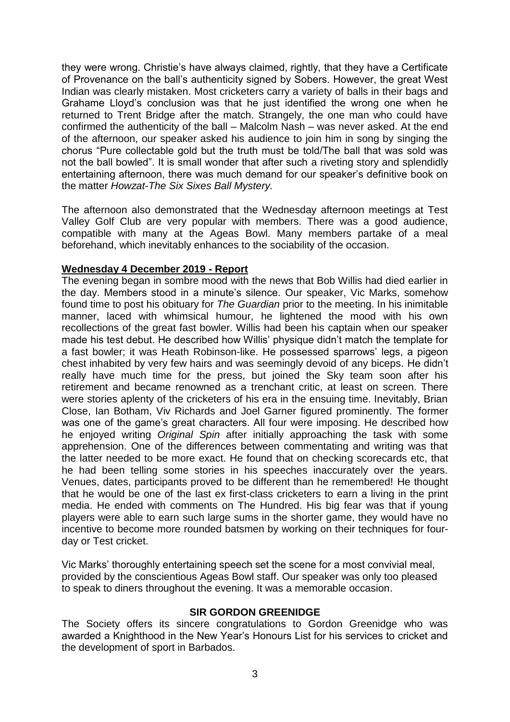they were wrong. Christie's have always claimed, rightly, that they have a Certificate of Provenance on the ball's authenticity signed by Sobers. However, the great West Indian was clearly mistaken. Most cricketers carry a variety of balls in their bags and Grahame Lloyd's conclusion was that he just identified the wrong one when he returned to Trent Bridge after the match. Strangely, the one man who could have confirmed the authenticity of the ball – Malcolm Nash – was never asked. At the end of the afternoon, our speaker asked his audience to join him in song by singing the chorus "Pure collectable gold but the truth must be told/The ball that was sold was not the ball bowled". It is small wonder that after such a riveting story and splendidly entertaining afternoon, there was much demand for our speaker's definitive book on the matter *Howzat-The Six Sixes Ball Mystery.* 

The afternoon also demonstrated that the Wednesday afternoon meetings at Test Valley Golf Club are very popular with members. There was a good audience, compatible with many at the Ageas Bowl. Many members partake of a meal beforehand, which inevitably enhances to the sociability of the occasion.

### **Wednesday 4 December 2019 - Report**

The evening began in sombre mood with the news that Bob Willis had died earlier in the day. Members stood in a minute's silence. Our speaker, Vic Marks, somehow found time to post his obituary for *The Guardian* prior to the meeting. In his inimitable manner, laced with whimsical humour, he lightened the mood with his own recollections of the great fast bowler. Willis had been his captain when our speaker made his test debut. He described how Willis' physique didn't match the template for a fast bowler; it was Heath Robinson-like. He possessed sparrows' legs, a pigeon chest inhabited by very few hairs and was seemingly devoid of any biceps. He didn't really have much time for the press, but joined the Sky team soon after his retirement and became renowned as a trenchant critic, at least on screen. There were stories aplenty of the cricketers of his era in the ensuing time. Inevitably, Brian Close, Ian Botham, Viv Richards and Joel Garner figured prominently. The former was one of the game's great characters. All four were imposing. He described how he enjoyed writing *Original Spin* after initially approaching the task with some apprehension. One of the differences between commentating and writing was that the latter needed to be more exact. He found that on checking scorecards etc, that he had been telling some stories in his speeches inaccurately over the years. Venues, dates, participants proved to be different than he remembered! He thought that he would be one of the last ex first-class cricketers to earn a living in the print media. He ended with comments on The Hundred. His big fear was that if young players were able to earn such large sums in the shorter game, they would have no incentive to become more rounded batsmen by working on their techniques for fourday or Test cricket.

Vic Marks' thoroughly entertaining speech set the scene for a most convivial meal, provided by the conscientious Ageas Bowl staff. Our speaker was only too pleased to speak to diners throughout the evening. It was a memorable occasion.

#### **SIR GORDON GREENIDGE**

The Society offers its sincere congratulations to Gordon Greenidge who was awarded a Knighthood in the New Year's Honours List for his services to cricket and the development of sport in Barbados.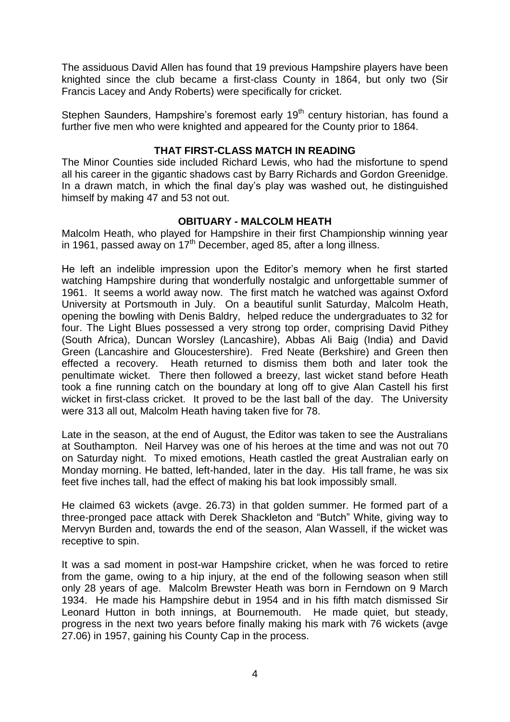The assiduous David Allen has found that 19 previous Hampshire players have been knighted since the club became a first-class County in 1864, but only two (Sir Francis Lacey and Andy Roberts) were specifically for cricket.

Stephen Saunders, Hampshire's foremost early 19<sup>th</sup> century historian, has found a further five men who were knighted and appeared for the County prior to 1864.

## **THAT FIRST-CLASS MATCH IN READING**

The Minor Counties side included Richard Lewis, who had the misfortune to spend all his career in the gigantic shadows cast by Barry Richards and Gordon Greenidge. In a drawn match, in which the final day's play was washed out, he distinguished himself by making 47 and 53 not out.

## **OBITUARY - MALCOLM HEATH**

Malcolm Heath, who played for Hampshire in their first Championship winning year in 1961, passed away on  $17<sup>th</sup>$  December, aged 85, after a long illness.

He left an indelible impression upon the Editor's memory when he first started watching Hampshire during that wonderfully nostalgic and unforgettable summer of 1961. It seems a world away now. The first match he watched was against Oxford University at Portsmouth in July. On a beautiful sunlit Saturday, Malcolm Heath, opening the bowling with Denis Baldry, helped reduce the undergraduates to 32 for four. The Light Blues possessed a very strong top order, comprising David Pithey (South Africa), Duncan Worsley (Lancashire), Abbas Ali Baig (India) and David Green (Lancashire and Gloucestershire). Fred Neate (Berkshire) and Green then effected a recovery. Heath returned to dismiss them both and later took the penultimate wicket. There then followed a breezy, last wicket stand before Heath took a fine running catch on the boundary at long off to give Alan Castell his first wicket in first-class cricket. It proved to be the last ball of the day. The University were 313 all out, Malcolm Heath having taken five for 78.

Late in the season, at the end of August, the Editor was taken to see the Australians at Southampton. Neil Harvey was one of his heroes at the time and was not out 70 on Saturday night. To mixed emotions, Heath castled the great Australian early on Monday morning. He batted, left-handed, later in the day. His tall frame, he was six feet five inches tall, had the effect of making his bat look impossibly small.

He claimed 63 wickets (avge. 26.73) in that golden summer. He formed part of a three-pronged pace attack with Derek Shackleton and "Butch" White, giving way to Mervyn Burden and, towards the end of the season, Alan Wassell, if the wicket was receptive to spin.

It was a sad moment in post-war Hampshire cricket, when he was forced to retire from the game, owing to a hip injury, at the end of the following season when still only 28 years of age. Malcolm Brewster Heath was born in Ferndown on 9 March 1934. He made his Hampshire debut in 1954 and in his fifth match dismissed Sir Leonard Hutton in both innings, at Bournemouth. He made quiet, but steady, progress in the next two years before finally making his mark with 76 wickets (avge 27.06) in 1957, gaining his County Cap in the process.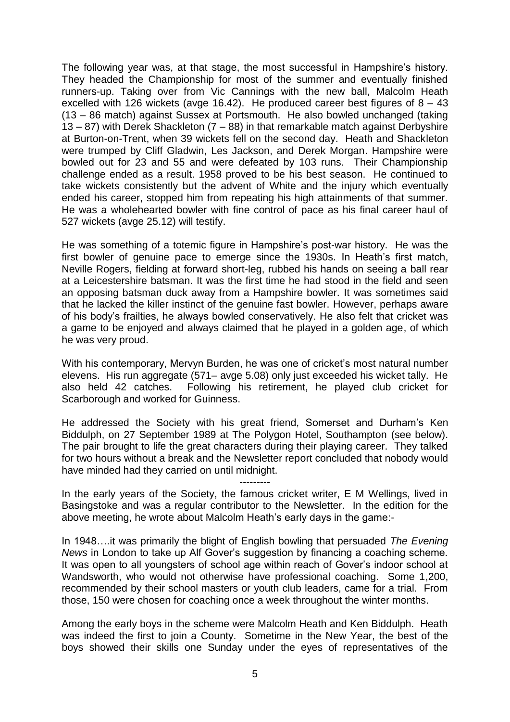The following year was, at that stage, the most successful in Hampshire's history. They headed the Championship for most of the summer and eventually finished runners-up. Taking over from Vic Cannings with the new ball, Malcolm Heath excelled with 126 wickets (avge 16.42). He produced career best figures of  $8 - 43$ (13 – 86 match) against Sussex at Portsmouth. He also bowled unchanged (taking 13 – 87) with Derek Shackleton (7 – 88) in that remarkable match against Derbyshire at Burton-on-Trent, when 39 wickets fell on the second day. Heath and Shackleton were trumped by Cliff Gladwin, Les Jackson, and Derek Morgan. Hampshire were bowled out for 23 and 55 and were defeated by 103 runs. Their Championship challenge ended as a result. 1958 proved to be his best season. He continued to take wickets consistently but the advent of White and the injury which eventually ended his career, stopped him from repeating his high attainments of that summer. He was a wholehearted bowler with fine control of pace as his final career haul of 527 wickets (avge 25.12) will testify.

He was something of a totemic figure in Hampshire's post-war history. He was the first bowler of genuine pace to emerge since the 1930s. In Heath's first match, Neville Rogers, fielding at forward short-leg, rubbed his hands on seeing a ball rear at a Leicestershire batsman. It was the first time he had stood in the field and seen an opposing batsman duck away from a Hampshire bowler. It was sometimes said that he lacked the killer instinct of the genuine fast bowler. However, perhaps aware of his body's frailties, he always bowled conservatively. He also felt that cricket was a game to be enjoyed and always claimed that he played in a golden age, of which he was very proud.

With his contemporary, Mervyn Burden, he was one of cricket's most natural number elevens. His run aggregate (571– avge 5.08) only just exceeded his wicket tally. He also held 42 catches. Following his retirement, he played club cricket for Scarborough and worked for Guinness.

He addressed the Society with his great friend, Somerset and Durham's Ken Biddulph, on 27 September 1989 at The Polygon Hotel, Southampton (see below). The pair brought to life the great characters during their playing career. They talked for two hours without a break and the Newsletter report concluded that nobody would have minded had they carried on until midnight.

#### ---------

In the early years of the Society, the famous cricket writer, E M Wellings, lived in Basingstoke and was a regular contributor to the Newsletter. In the edition for the above meeting, he wrote about Malcolm Heath's early days in the game:-

In 1948….it was primarily the blight of English bowling that persuaded *The Evening News* in London to take up Alf Gover's suggestion by financing a coaching scheme. It was open to all youngsters of school age within reach of Gover's indoor school at Wandsworth, who would not otherwise have professional coaching. Some 1,200, recommended by their school masters or youth club leaders, came for a trial. From those, 150 were chosen for coaching once a week throughout the winter months.

Among the early boys in the scheme were Malcolm Heath and Ken Biddulph. Heath was indeed the first to join a County. Sometime in the New Year, the best of the boys showed their skills one Sunday under the eyes of representatives of the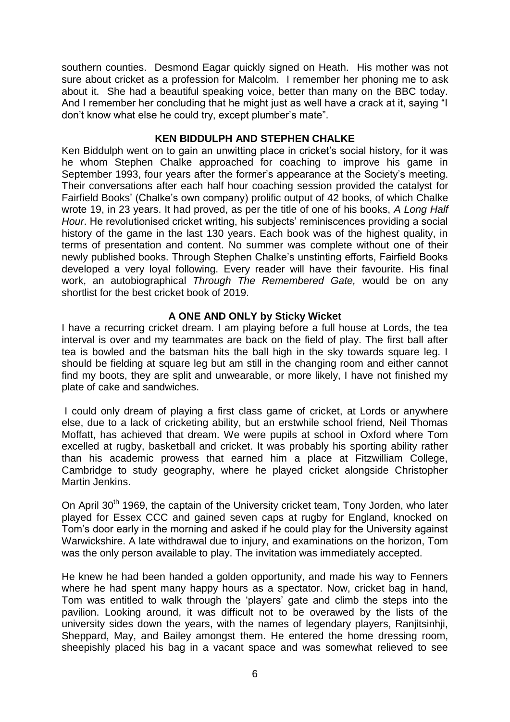southern counties. Desmond Eagar quickly signed on Heath. His mother was not sure about cricket as a profession for Malcolm. I remember her phoning me to ask about it. She had a beautiful speaking voice, better than many on the BBC today. And I remember her concluding that he might just as well have a crack at it, saying "I don't know what else he could try, except plumber's mate".

### **KEN BIDDULPH AND STEPHEN CHALKE**

Ken Biddulph went on to gain an unwitting place in cricket's social history, for it was he whom Stephen Chalke approached for coaching to improve his game in September 1993, four years after the former's appearance at the Society's meeting. Their conversations after each half hour coaching session provided the catalyst for Fairfield Books' (Chalke's own company) prolific output of 42 books, of which Chalke wrote 19, in 23 years. It had proved, as per the title of one of his books, *A Long Half Hour*. He revolutionised cricket writing, his subjects' reminiscences providing a social history of the game in the last 130 years. Each book was of the highest quality, in terms of presentation and content. No summer was complete without one of their newly published books. Through Stephen Chalke's unstinting efforts, Fairfield Books developed a very loyal following. Every reader will have their favourite. His final work, an autobiographical *Through The Remembered Gate,* would be on any shortlist for the best cricket book of 2019.

## **A ONE AND ONLY by Sticky Wicket**

I have a recurring cricket dream. I am playing before a full house at Lords, the tea interval is over and my teammates are back on the field of play. The first ball after tea is bowled and the batsman hits the ball high in the sky towards square leg. I should be fielding at square leg but am still in the changing room and either cannot find my boots, they are split and unwearable, or more likely, I have not finished my plate of cake and sandwiches.

I could only dream of playing a first class game of cricket, at Lords or anywhere else, due to a lack of cricketing ability, but an erstwhile school friend, Neil Thomas Moffatt, has achieved that dream. We were pupils at school in Oxford where Tom excelled at rugby, basketball and cricket. It was probably his sporting ability rather than his academic prowess that earned him a place at Fitzwilliam College, Cambridge to study geography, where he played cricket alongside Christopher Martin Jenkins.

On April 30<sup>th</sup> 1969, the captain of the University cricket team, Tony Jorden, who later played for Essex CCC and gained seven caps at rugby for England, knocked on Tom's door early in the morning and asked if he could play for the University against Warwickshire. A late withdrawal due to injury, and examinations on the horizon, Tom was the only person available to play. The invitation was immediately accepted.

He knew he had been handed a golden opportunity, and made his way to Fenners where he had spent many happy hours as a spectator. Now, cricket bag in hand, Tom was entitled to walk through the 'players' gate and climb the steps into the pavilion. Looking around, it was difficult not to be overawed by the lists of the university sides down the years, with the names of legendary players, Ranjitsinhji, Sheppard, May, and Bailey amongst them. He entered the home dressing room, sheepishly placed his bag in a vacant space and was somewhat relieved to see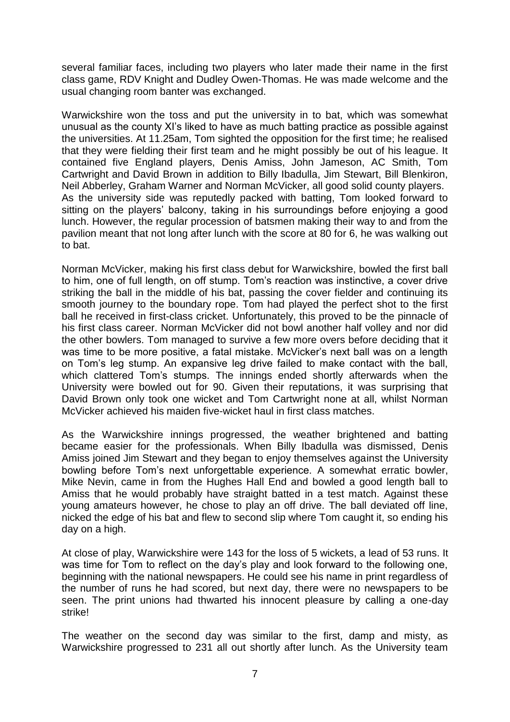several familiar faces, including two players who later made their name in the first class game, RDV Knight and Dudley Owen-Thomas. He was made welcome and the usual changing room banter was exchanged.

Warwickshire won the toss and put the university in to bat, which was somewhat unusual as the county XI's liked to have as much batting practice as possible against the universities. At 11.25am, Tom sighted the opposition for the first time; he realised that they were fielding their first team and he might possibly be out of his league. It contained five England players, Denis Amiss, John Jameson, AC Smith, Tom Cartwright and David Brown in addition to Billy Ibadulla, Jim Stewart, Bill Blenkiron, Neil Abberley, Graham Warner and Norman McVicker, all good solid county players. As the university side was reputedly packed with batting, Tom looked forward to sitting on the players' balcony, taking in his surroundings before enjoying a good lunch. However, the regular procession of batsmen making their way to and from the pavilion meant that not long after lunch with the score at 80 for 6, he was walking out to bat.

Norman McVicker, making his first class debut for Warwickshire, bowled the first ball to him, one of full length, on off stump. Tom's reaction was instinctive, a cover drive striking the ball in the middle of his bat, passing the cover fielder and continuing its smooth journey to the boundary rope. Tom had played the perfect shot to the first ball he received in first-class cricket. Unfortunately, this proved to be the pinnacle of his first class career. Norman McVicker did not bowl another half volley and nor did the other bowlers. Tom managed to survive a few more overs before deciding that it was time to be more positive, a fatal mistake. McVicker's next ball was on a length on Tom's leg stump. An expansive leg drive failed to make contact with the ball, which clattered Tom's stumps. The innings ended shortly afterwards when the University were bowled out for 90. Given their reputations, it was surprising that David Brown only took one wicket and Tom Cartwright none at all, whilst Norman McVicker achieved his maiden five-wicket haul in first class matches.

As the Warwickshire innings progressed, the weather brightened and batting became easier for the professionals. When Billy Ibadulla was dismissed, Denis Amiss joined Jim Stewart and they began to enjoy themselves against the University bowling before Tom's next unforgettable experience. A somewhat erratic bowler, Mike Nevin, came in from the Hughes Hall End and bowled a good length ball to Amiss that he would probably have straight batted in a test match. Against these young amateurs however, he chose to play an off drive. The ball deviated off line, nicked the edge of his bat and flew to second slip where Tom caught it, so ending his day on a high.

At close of play, Warwickshire were 143 for the loss of 5 wickets, a lead of 53 runs. It was time for Tom to reflect on the day's play and look forward to the following one, beginning with the national newspapers. He could see his name in print regardless of the number of runs he had scored, but next day, there were no newspapers to be seen. The print unions had thwarted his innocent pleasure by calling a one-day strike!

The weather on the second day was similar to the first, damp and misty, as Warwickshire progressed to 231 all out shortly after lunch. As the University team